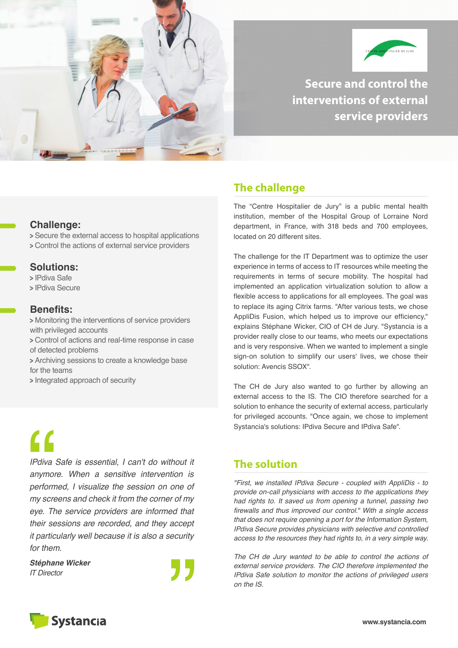



**Secure and control the interventions of external service providers**

#### **Challenge:**

**<sup>&</sup>gt;** Secure the external access to hospital applications **<sup>&</sup>gt;** Control the actions of external service providers

#### **Solutions:**

**<sup>&</sup>gt;** IPdiva Safe

**<sup>&</sup>gt;** IPdiva Secure

#### **Benefits:**

**<sup>&</sup>gt;** Monitoring the interventions of service providers with privileged accounts

- **<sup>&</sup>gt;** Control of actions and real-time response in case of detected problems
- **<sup>&</sup>gt;** Archiving sessions to create a knowledge base for the teams
- **<sup>&</sup>gt;** Integrated approach of security

# $\overline{\mathbf{C}}$

*IPdiva Safe is essential, I can't do without it anymore. When a sensitive intervention is performed, I visualize the session on one of my screens and check it from the corner of my eye. The service providers are informed that their sessions are recorded, and they accept it particularly well because it is also a security for them.*

*Stéphane Wicker IT Director*



# **The challenge**

The "Centre Hospitalier de Jury" is a public mental health institution, member of the Hospital Group of Lorraine Nord department, in France, with 318 beds and 700 employees, located on 20 different sites.

The challenge for the IT Department was to optimize the user experience in terms of access to IT resources while meeting the requirements in terms of secure mobility. The hospital had implemented an application virtualization solution to allow a flexible access to applications for all employees. The goal was to replace its aging Citrix farms. "After various tests, we chose AppliDis Fusion, which helped us to improve our efficiency," explains Stéphane Wicker, CIO of CH de Jury. "Systancia is a provider really close to our teams, who meets our expectations and is very responsive. When we wanted to implement a single sign-on solution to simplify our users' lives, we chose their solution: Avencis SSOX".

The CH de Jury also wanted to go further by allowing an external access to the IS. The CIO therefore searched for a solution to enhance the security of external access, particularly for privileged accounts. "Once again, we chose to implement Systancia's solutions: IPdiva Secure and IPdiva Safe".

# **The solution**

*"First, we installed IPdiva Secure - coupled with AppliDis - to provide on-call physicians with access to the applications they had rights to. It saved us from opening a tunnel, passing two firewalls and thus improved our control." With a single access that does not require opening a port for the Information System, IPdiva Secure provides physicians with selective and controlled access to the resources they had rights to, in a very simple way.*

*The CH de Jury wanted to be able to control the actions of external service providers. The CIO therefore implemented the IPdiva Safe solution to monitor the actions of privileged users on the IS.*